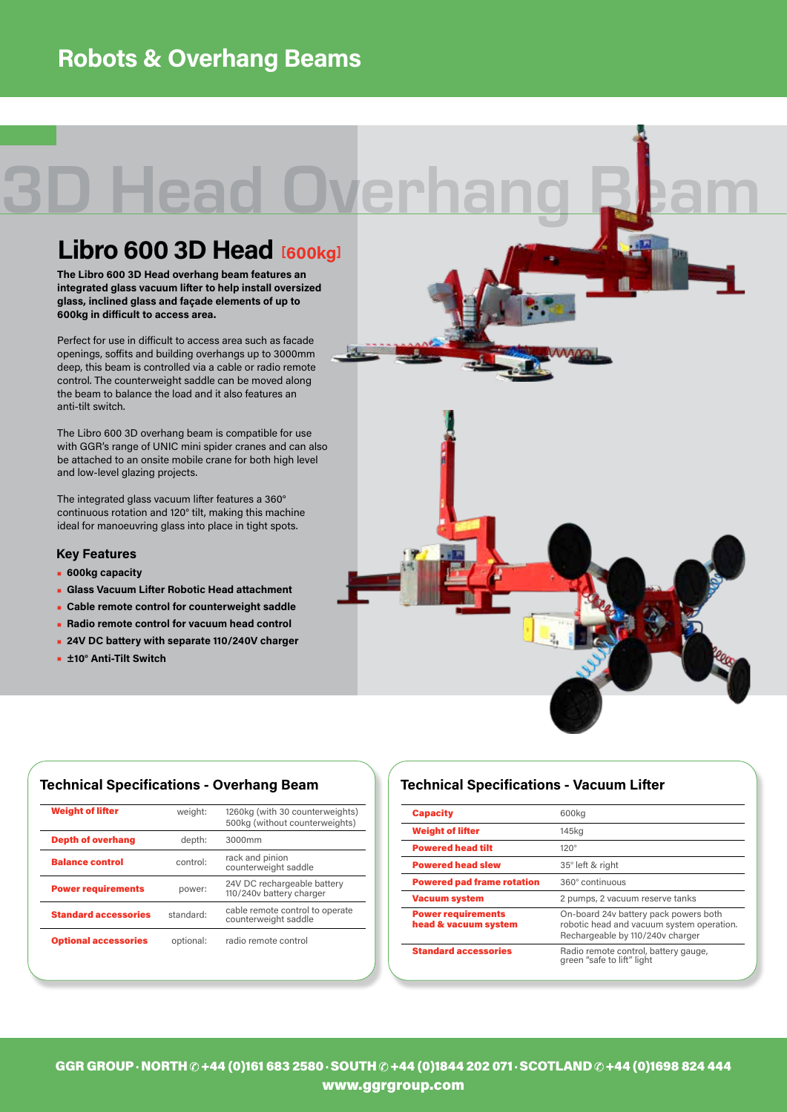## **Robots & Overhang Beams**

# 3D Head Overhang Bam

## **Libro 600 3D Head [600kg]**

**The Libro 600 3D Head overhang beam features an integrated glass vacuum lifter to help install oversized glass, inclined glass and façade elements of up to 600kg in difficult to access area.** 

Perfect for use in difficult to access area such as facade openings, soffits and building overhangs up to 3000mm deep, this beam is controlled via a cable or radio remote control. The counterweight saddle can be moved along the beam to balance the load and it also features an anti-tilt switch.

The Libro 600 3D overhang beam is compatible for use with GGR's range of UNIC mini spider cranes and can also be attached to an onsite mobile crane for both high level and low-level glazing projects.

The integrated glass vacuum lifter features a 360° continuous rotation and 120° tilt, making this machine ideal for manoeuvring glass into place in tight spots.

#### **Key Features**

- **• 600kg capacity**
- **• Glass Vacuum Lifter Robotic Head attachment**
- **• Cable remote control for counterweight saddle**
- **• Radio remote control for vacuum head control**
- **• 24V DC battery with separate 110/240V charger**
- **• ±10° Anti-Tilt Switch**



| <b>Weight of lifter</b>     | weight:   | 1260kg (with 30 counterweights)<br>500kg (without counterweights) |
|-----------------------------|-----------|-------------------------------------------------------------------|
| <b>Depth of overhang</b>    | depth:    | 3000mm                                                            |
| <b>Balance control</b>      | control:  | rack and pinion<br>counterweight saddle                           |
| <b>Power requirements</b>   | power:    | 24V DC rechargeable battery<br>110/240v battery charger           |
| <b>Standard accessories</b> | standard: | cable remote control to operate<br>counterweight saddle           |
| <b>Optional accessories</b> | optional: | radio remote control                                              |
|                             |           |                                                                   |

### **Technical Specifications - Overhang Beam Technical Specifications - Vacuum Lifter**

| <b>Capacity</b>                                   | 600kg                                                                                                                  |  |
|---------------------------------------------------|------------------------------------------------------------------------------------------------------------------------|--|
| <b>Weight of lifter</b>                           | 145kg                                                                                                                  |  |
| <b>Powered head tilt</b>                          | $120^\circ$                                                                                                            |  |
| <b>Powered head slew</b>                          | 35° left & right                                                                                                       |  |
| <b>Powered pad frame rotation</b>                 | 360° continuous                                                                                                        |  |
| <b>Vacuum system</b>                              | 2 pumps, 2 vacuum reserve tanks                                                                                        |  |
| <b>Power requirements</b><br>head & vacuum system | On-board 24v battery pack powers both<br>robotic head and vacuum system operation.<br>Rechargeable by 110/240v charger |  |
| <b>Standard accessories</b>                       | Radio remote control, battery gauge,<br>green "safe to lift" light                                                     |  |